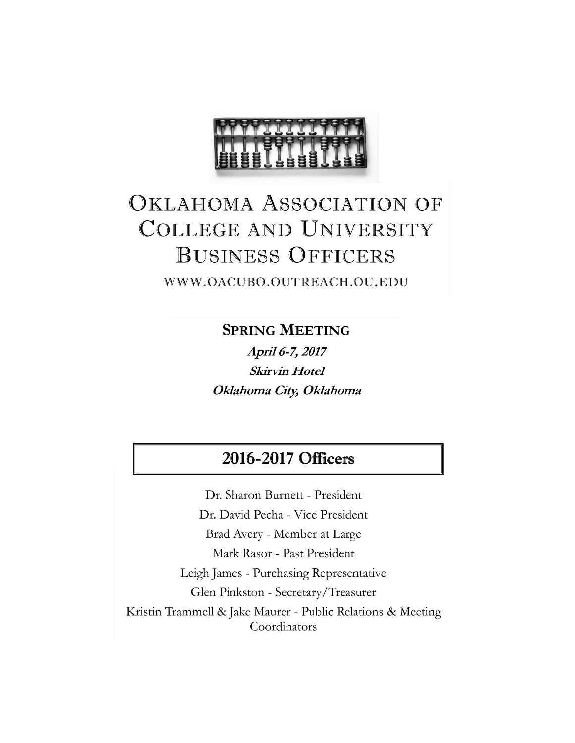

## **OKLAHOMA ASSOCIATION OF COLLEGE AND UNIVERSITY BUSINESS OFFICERS**

WWW.OACUBO.OUTREACH.OU.EDU

**SPRING MEETING** 

April 6-7, 2017 **Skirvin Hotel** Oklahoma City, Oklahoma

## 2016-2017 Officers

Dr. Sharon Burnett - President Dr. David Pecha - Vice President Brad Avery - Member at Large Mark Rasor - Past President Leigh James - Purchasing Representative Glen Pinkston - Secretary/Treasurer Kristin Trammell & Jake Maurer - Public Relations & Meeting Coordinators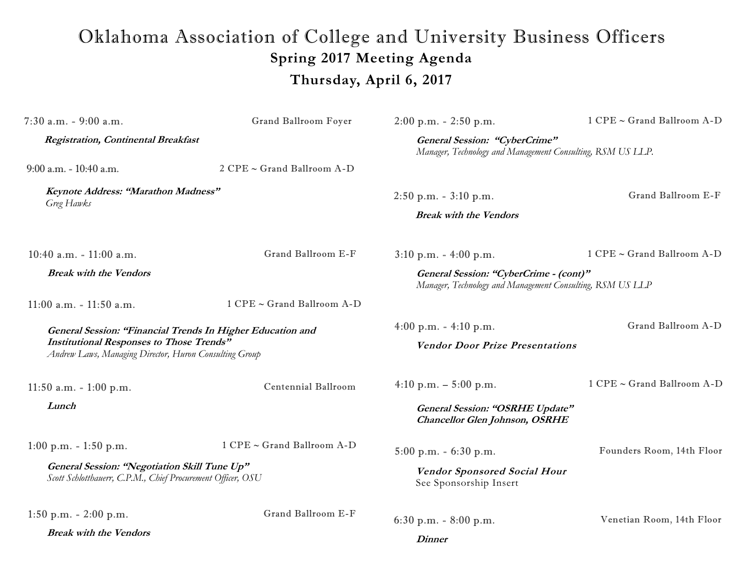## Oklahoma Association of College and University Business Officers **Spring 2017 Meeting Agenda Thursday, April 6, 2017**

| $7:30$ a.m. - $9:00$ a.m.                                                                                                                                               | Grand Ballroom Foyer       | $2:00$ p.m. $-2:50$ p.m.                                                                            | 1 CPE ~ Grand Ballroom A-D |
|-------------------------------------------------------------------------------------------------------------------------------------------------------------------------|----------------------------|-----------------------------------------------------------------------------------------------------|----------------------------|
| Registration, Continental Breakfast                                                                                                                                     |                            | General Session: "CyberCrime"<br>Manager, Technology and Management Consulting, RSM US LLP.         |                            |
| $9:00$ a.m. - 10:40 a.m.                                                                                                                                                | 2 CPE ~ Grand Ballroom A-D |                                                                                                     |                            |
| Keynote Address: "Marathon Madness"<br>Greg Hawks                                                                                                                       |                            | $2:50$ p.m. $-3:10$ p.m.                                                                            | Grand Ballroom E-F         |
|                                                                                                                                                                         |                            | <b>Break with the Vendors</b>                                                                       |                            |
| 10:40 a.m. $-11:00$ a.m.                                                                                                                                                | Grand Ballroom E-F         | $3:10 \text{ p.m.} - 4:00 \text{ p.m.}$                                                             | 1 CPE ~ Grand Ballroom A-D |
| <b>Break with the Vendors</b>                                                                                                                                           |                            | General Session: "CyberCrime - (cont)"<br>Manager, Technology and Management Consulting, RSM US LLP |                            |
| $11:00$ a.m. $-11:50$ a.m.                                                                                                                                              | 1 CPE ~ Grand Ballroom A-D |                                                                                                     |                            |
| General Session: "Financial Trends In Higher Education and<br><b>Institutional Responses to Those Trends"</b><br>Andrew Laws, Managing Director, Huron Consulting Group |                            | 4:00 p.m. $-4:10$ p.m.                                                                              | Grand Ballroom A-D         |
|                                                                                                                                                                         |                            | <b>Vendor Door Prize Presentations</b>                                                              |                            |
| 11:50 a.m. $-1:00$ p.m.                                                                                                                                                 | Centennial Ballroom        | 4:10 p.m. $-$ 5:00 p.m.                                                                             | 1 CPE ~ Grand Ballroom A-D |
| Lunch                                                                                                                                                                   |                            | General Session: "OSRHE Update"<br><b>Chancellor Glen Johnson, OSRHE</b>                            |                            |
| 1:00 p.m. $-1:50$ p.m.                                                                                                                                                  | 1 CPE ~ Grand Ballroom A-D | $5:00$ p.m. $-6:30$ p.m.                                                                            | Founders Room, 14th Floor  |
| General Session: "Negotiation Skill Tune Up"<br>Scott Schlotthauerr, C.P.M., Chief Procurement Officer, OSU                                                             |                            | <b>Vendor Sponsored Social Hour</b><br>See Sponsorship Insert                                       |                            |
| $1:50$ p.m. $-2:00$ p.m.                                                                                                                                                | Grand Ballroom E-F         | 6:30 p.m. $-8:00$ p.m.                                                                              | Venetian Room, 14th Floor  |
| <b>Break with the Vendors</b>                                                                                                                                           |                            | <b>Dinner</b>                                                                                       |                            |